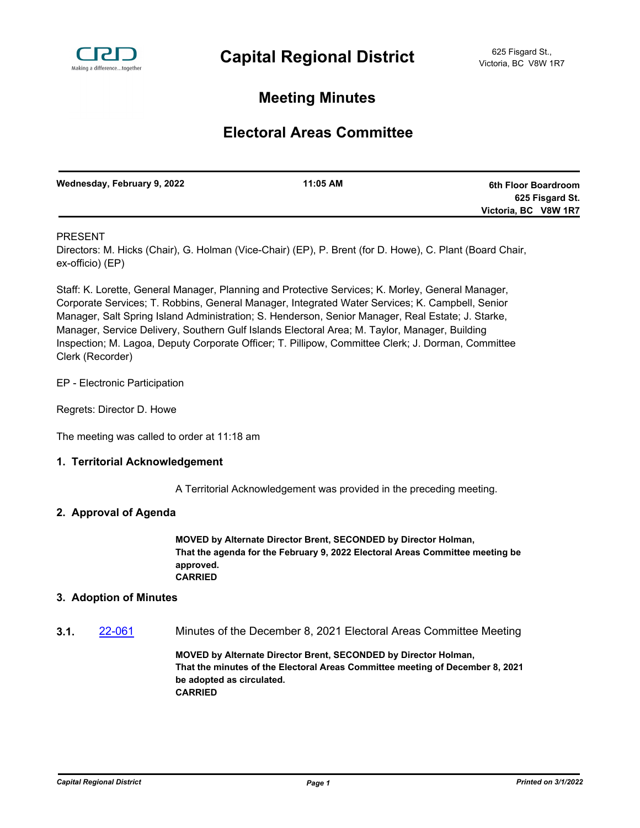

# **Meeting Minutes**

# **Electoral Areas Committee**

| Wednesday, February 9, 2022 | 11:05 AM | 6th Floor Boardroom  |
|-----------------------------|----------|----------------------|
|                             |          | 625 Fisgard St.      |
|                             |          | Victoria, BC V8W 1R7 |

## PRESENT

Directors: M. Hicks (Chair), G. Holman (Vice-Chair) (EP), P. Brent (for D. Howe), C. Plant (Board Chair, ex-officio) (EP)

Staff: K. Lorette, General Manager, Planning and Protective Services; K. Morley, General Manager, Corporate Services; T. Robbins, General Manager, Integrated Water Services; K. Campbell, Senior Manager, Salt Spring Island Administration; S. Henderson, Senior Manager, Real Estate; J. Starke, Manager, Service Delivery, Southern Gulf Islands Electoral Area; M. Taylor, Manager, Building Inspection; M. Lagoa, Deputy Corporate Officer; T. Pillipow, Committee Clerk; J. Dorman, Committee Clerk (Recorder)

EP - Electronic Participation

Regrets: Director D. Howe

The meeting was called to order at 11:18 am

### **1. Territorial Acknowledgement**

A Territorial Acknowledgement was provided in the preceding meeting.

### **2. Approval of Agenda**

**MOVED by Alternate Director Brent, SECONDED by Director Holman, That the agenda for the February 9, 2022 Electoral Areas Committee meeting be approved. CARRIED**

### **3. Adoption of Minutes**

**3.1.** [22-061](http://crd.ca.legistar.com/gateway.aspx?m=l&id=/matter.aspx?key=8917) Minutes of the December 8, 2021 Electoral Areas Committee Meeting

**MOVED by Alternate Director Brent, SECONDED by Director Holman, That the minutes of the Electoral Areas Committee meeting of December 8, 2021 be adopted as circulated. CARRIED**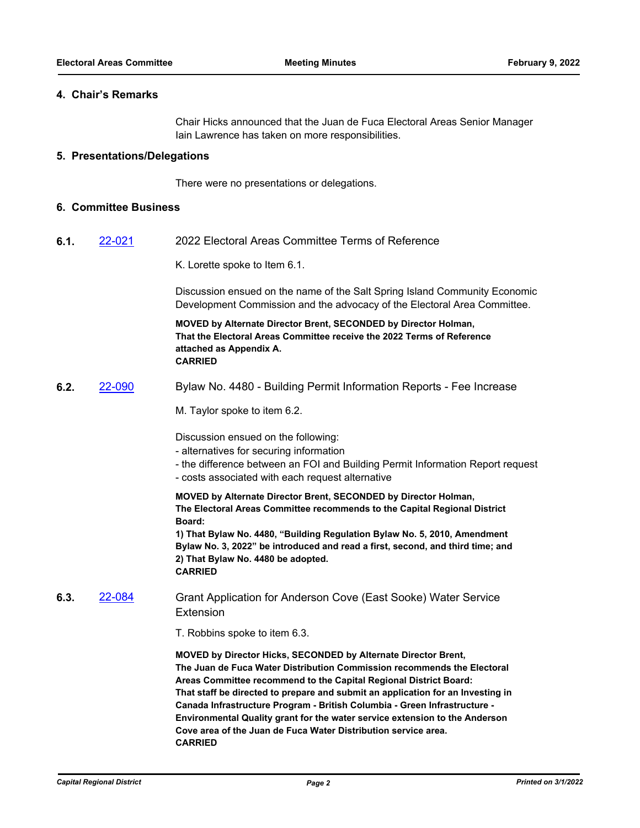#### **4. Chair's Remarks**

Chair Hicks announced that the Juan de Fuca Electoral Areas Senior Manager Iain Lawrence has taken on more responsibilities.

#### **5. Presentations/Delegations**

There were no presentations or delegations.

#### **6. Committee Business**

**6.1.** [22-021](http://crd.ca.legistar.com/gateway.aspx?m=l&id=/matter.aspx?key=8877) 2022 Electoral Areas Committee Terms of Reference

K. Lorette spoke to Item 6.1.

Discussion ensued on the name of the Salt Spring Island Community Economic Development Commission and the advocacy of the Electoral Area Committee.

**MOVED by Alternate Director Brent, SECONDED by Director Holman, That the Electoral Areas Committee receive the 2022 Terms of Reference attached as Appendix A. CARRIED**

**6.2.** [22-090](http://crd.ca.legistar.com/gateway.aspx?m=l&id=/matter.aspx?key=8946) Bylaw No. 4480 - Building Permit Information Reports - Fee Increase

M. Taylor spoke to item 6.2.

Discussion ensued on the following:

- alternatives for securing information
- the difference between an FOI and Building Permit Information Report request
- costs associated with each request alternative

**MOVED by Alternate Director Brent, SECONDED by Director Holman, The Electoral Areas Committee recommends to the Capital Regional District Board:**

**1) That Bylaw No. 4480, "Building Regulation Bylaw No. 5, 2010, Amendment Bylaw No. 3, 2022" be introduced and read a first, second, and third time; and 2) That Bylaw No. 4480 be adopted. CARRIED**

**6.3.** [22-084](http://crd.ca.legistar.com/gateway.aspx?m=l&id=/matter.aspx?key=8940) Grant Application for Anderson Cove (East Sooke) Water Service Extension

T. Robbins spoke to item 6.3.

**MOVED by Director Hicks, SECONDED by Alternate Director Brent, The Juan de Fuca Water Distribution Commission recommends the Electoral Areas Committee recommend to the Capital Regional District Board: That staff be directed to prepare and submit an application for an Investing in Canada Infrastructure Program - British Columbia - Green Infrastructure - Environmental Quality grant for the water service extension to the Anderson Cove area of the Juan de Fuca Water Distribution service area. CARRIED**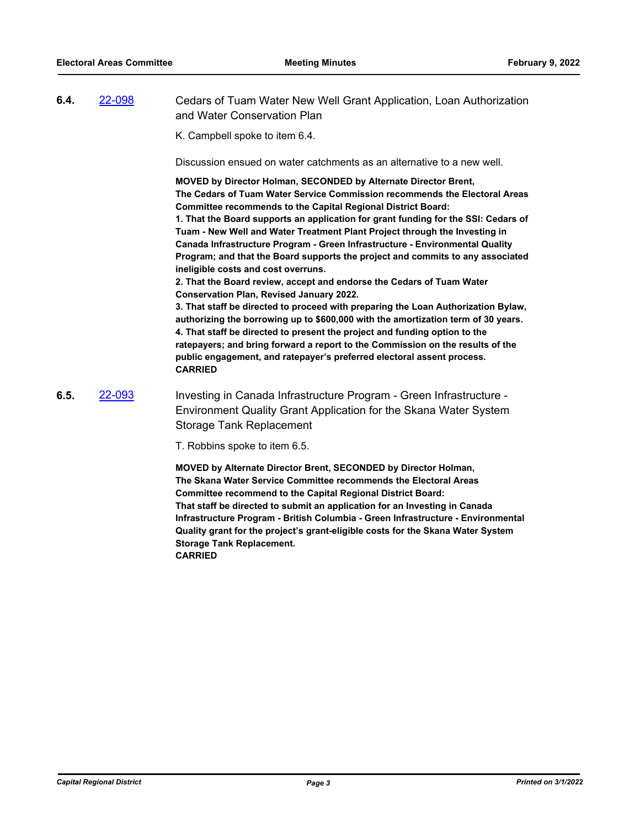| 6.4. | 22-098 | Cedars of Tuam Water New Well Grant Application, Loan Authorization<br>and Water Conservation Plan                                                                                                                                                                                                                                                                                                                                                                                                                                                                                                                                                                                                                                                                                                                                                                                                                                                                                                                                                                                                                                                                  |
|------|--------|---------------------------------------------------------------------------------------------------------------------------------------------------------------------------------------------------------------------------------------------------------------------------------------------------------------------------------------------------------------------------------------------------------------------------------------------------------------------------------------------------------------------------------------------------------------------------------------------------------------------------------------------------------------------------------------------------------------------------------------------------------------------------------------------------------------------------------------------------------------------------------------------------------------------------------------------------------------------------------------------------------------------------------------------------------------------------------------------------------------------------------------------------------------------|
|      |        | K. Campbell spoke to item 6.4.                                                                                                                                                                                                                                                                                                                                                                                                                                                                                                                                                                                                                                                                                                                                                                                                                                                                                                                                                                                                                                                                                                                                      |
|      |        | Discussion ensued on water catchments as an alternative to a new well.                                                                                                                                                                                                                                                                                                                                                                                                                                                                                                                                                                                                                                                                                                                                                                                                                                                                                                                                                                                                                                                                                              |
|      |        | MOVED by Director Holman, SECONDED by Alternate Director Brent,<br>The Cedars of Tuam Water Service Commission recommends the Electoral Areas<br><b>Committee recommends to the Capital Regional District Board:</b><br>1. That the Board supports an application for grant funding for the SSI: Cedars of<br>Tuam - New Well and Water Treatment Plant Project through the Investing in<br>Canada Infrastructure Program - Green Infrastructure - Environmental Quality<br>Program; and that the Board supports the project and commits to any associated<br>ineligible costs and cost overruns.<br>2. That the Board review, accept and endorse the Cedars of Tuam Water<br><b>Conservation Plan, Revised January 2022.</b><br>3. That staff be directed to proceed with preparing the Loan Authorization Bylaw,<br>authorizing the borrowing up to \$600,000 with the amortization term of 30 years.<br>4. That staff be directed to present the project and funding option to the<br>ratepayers; and bring forward a report to the Commission on the results of the<br>public engagement, and ratepayer's preferred electoral assent process.<br><b>CARRIED</b> |
| 6.5. | 22-093 | Investing in Canada Infrastructure Program - Green Infrastructure -<br>Environment Quality Grant Application for the Skana Water System<br><b>Storage Tank Replacement</b>                                                                                                                                                                                                                                                                                                                                                                                                                                                                                                                                                                                                                                                                                                                                                                                                                                                                                                                                                                                          |
|      |        | T. Robbins spoke to item 6.5.                                                                                                                                                                                                                                                                                                                                                                                                                                                                                                                                                                                                                                                                                                                                                                                                                                                                                                                                                                                                                                                                                                                                       |
|      |        | MOVED by Alternate Director Brent, SECONDED by Director Holman,<br>The Skana Water Service Committee recommends the Electoral Areas<br><b>Committee recommend to the Capital Regional District Board:</b><br>That staff he directed to submit an annlication for an Investing in Canada                                                                                                                                                                                                                                                                                                                                                                                                                                                                                                                                                                                                                                                                                                                                                                                                                                                                             |

**That staff be directed to submit an application for an Investing in Canada Infrastructure Program - British Columbia - Green Infrastructure - Environmental Quality grant for the project's grant-eligible costs for the Skana Water System Storage Tank Replacement.**

**CARRIED**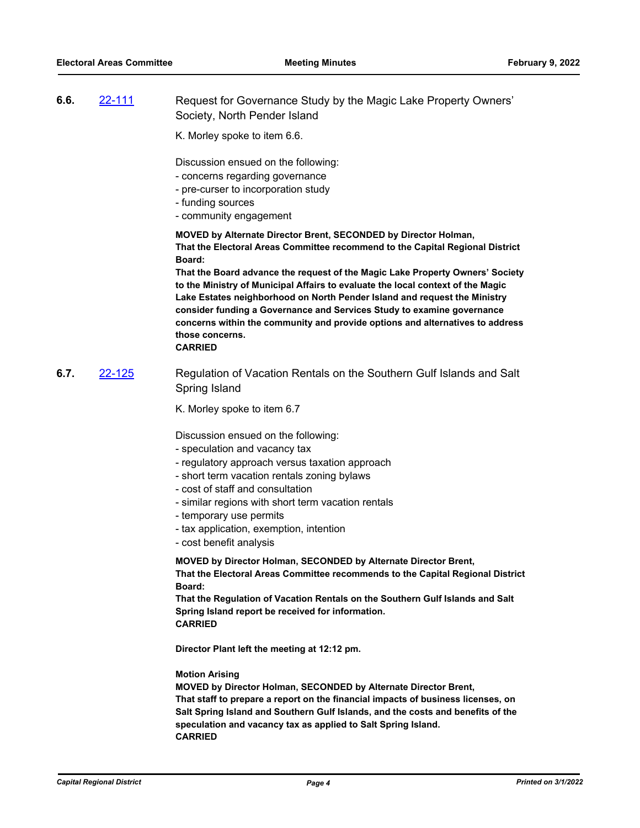- **6.6.** [22-111](http://crd.ca.legistar.com/gateway.aspx?m=l&id=/matter.aspx?key=8967) Request for Governance Study by the Magic Lake Property Owners' Society, North Pender Island
	- K. Morley spoke to item 6.6.

Discussion ensued on the following:

- concerns regarding governance
- pre-curser to incorporation study
- funding sources
- community engagement

**MOVED by Alternate Director Brent, SECONDED by Director Holman, That the Electoral Areas Committee recommend to the Capital Regional District Board:** 

**That the Board advance the request of the Magic Lake Property Owners' Society to the Ministry of Municipal Affairs to evaluate the local context of the Magic Lake Estates neighborhood on North Pender Island and request the Ministry consider funding a Governance and Services Study to examine governance concerns within the community and provide options and alternatives to address those concerns.**

#### **CARRIED**

**6.7.** [22-125](http://crd.ca.legistar.com/gateway.aspx?m=l&id=/matter.aspx?key=8981) Regulation of Vacation Rentals on the Southern Gulf Islands and Salt Spring Island

K. Morley spoke to item 6.7

Discussion ensued on the following:

- speculation and vacancy tax
- regulatory approach versus taxation approach
- short term vacation rentals zoning bylaws
- cost of staff and consultation
- similar regions with short term vacation rentals
- temporary use permits
- tax application, exemption, intention
- cost benefit analysis

**MOVED by Director Holman, SECONDED by Alternate Director Brent, That the Electoral Areas Committee recommends to the Capital Regional District Board:**

**That the Regulation of Vacation Rentals on the Southern Gulf Islands and Salt Spring Island report be received for information. CARRIED**

**Director Plant left the meeting at 12:12 pm.**

#### **Motion Arising**

**MOVED by Director Holman, SECONDED by Alternate Director Brent, That staff to prepare a report on the financial impacts of business licenses, on Salt Spring Island and Southern Gulf Islands, and the costs and benefits of the speculation and vacancy tax as applied to Salt Spring Island. CARRIED**